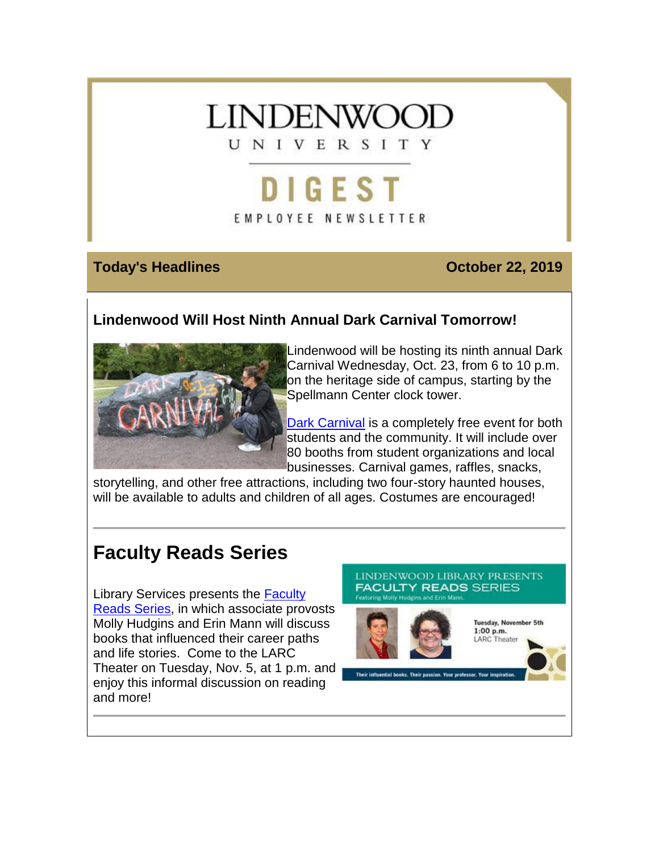

# DIGEST EMPLOYEE NEWSLETTER

## **Today's Headlines Contract Contract Contract Contract Contract Contract Contract Contract Contract Contract Contract Contract Contract Contract Contract Contract Contract Contract Contract Contract Contract Contract Con**

# **Lindenwood Will Host Ninth Annual Dark Carnival Tomorrow!**



Lindenwood will be hosting its ninth annual Dark Carnival Wednesday, Oct. 23, from 6 to 10 p.m. on the heritage side of campus, starting by the Spellmann Center clock tower.

[Dark Carnival](https://hes32-ctp.trendmicro.com/wis/clicktime/v1/query?url=https%3a%2f%2fcustapp.marketvolt.com%2flink%2fHg6N1gF439%3fCM%3d1408938776%26X%3d70525052&umid=087a5ad9-9277-4847-8b26-625ba028f272&auth=bc7ac43e330fa629f0cfb11786c85e83c10d06b8-52a39cfb9976aa36534b4bf019047f2fca05329e) is a completely free event for both students and the community. It will include over 80 booths from student organizations and local businesses. Carnival games, raffles, snacks,

storytelling, and other free attractions, including two four-story haunted houses, will be available to adults and children of all ages. Costumes are encouraged!

# **Faculty Reads Series**

Library Services presents the [Faculty](https://hes32-ctp.trendmicro.com/wis/clicktime/v1/query?url=https%3a%2f%2fcustapp.marketvolt.com%2flink%2fyIIUTPa1df%3fCM%3d1408938776%26X%3d70525052&umid=087a5ad9-9277-4847-8b26-625ba028f272&auth=bc7ac43e330fa629f0cfb11786c85e83c10d06b8-b9628a9d6744b1f35263ba30cc5e5f07744ce264)  [Reads Series,](https://hes32-ctp.trendmicro.com/wis/clicktime/v1/query?url=https%3a%2f%2fcustapp.marketvolt.com%2flink%2fyIIUTPa1df%3fCM%3d1408938776%26X%3d70525052&umid=087a5ad9-9277-4847-8b26-625ba028f272&auth=bc7ac43e330fa629f0cfb11786c85e83c10d06b8-b9628a9d6744b1f35263ba30cc5e5f07744ce264) in which associate provosts Molly Hudgins and Erin Mann will discuss books that influenced their career paths and life stories. Come to the LARC Theater on Tuesday, Nov. 5, at 1 p.m. and enjoy this informal discussion on reading and more!

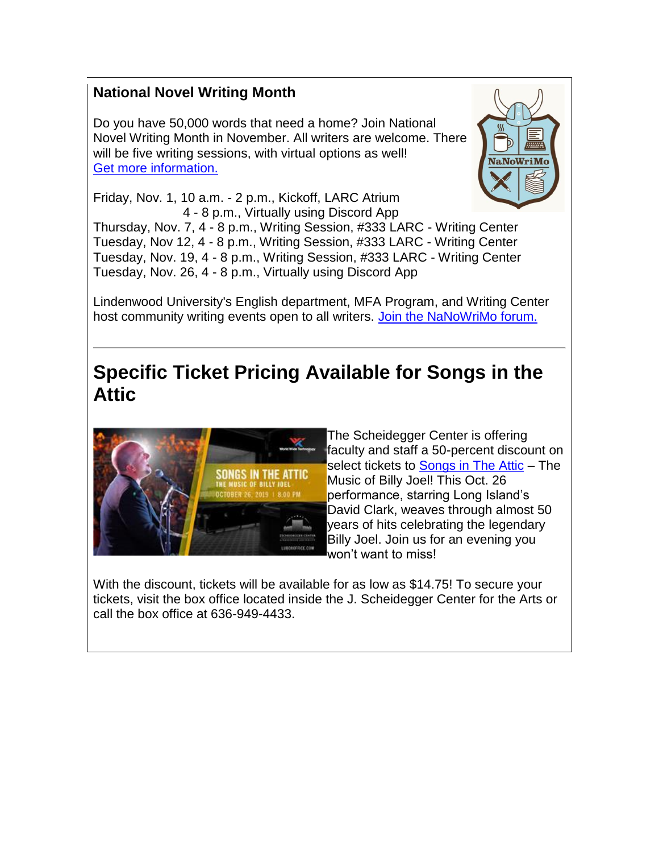# **National Novel Writing Month**

Do you have 50,000 words that need a home? Join National Novel Writing Month in November. All writers are welcome. There will be five writing sessions, with virtual options as well! [Get more information.](https://hes32-ctp.trendmicro.com/wis/clicktime/v1/query?url=https%3a%2f%2fcustapp.marketvolt.com%2flink%2fwAFpEGs5zg%3fCM%3d1408938776%26X%3d70525052&umid=087a5ad9-9277-4847-8b26-625ba028f272&auth=bc7ac43e330fa629f0cfb11786c85e83c10d06b8-cb9ec66c84afa8742b8c8ac8a0de99a2f2d1687b)



Friday, Nov. 1, 10 a.m. - 2 p.m., Kickoff, LARC Atrium 4 - 8 p.m., Virtually using Discord App

Thursday, Nov. 7, 4 - 8 p.m., Writing Session, #333 LARC - Writing Center Tuesday, Nov 12, 4 - 8 p.m., Writing Session, #333 LARC - Writing Center Tuesday, Nov. 19, 4 - 8 p.m., Writing Session, #333 LARC - Writing Center Tuesday, Nov. 26, 4 - 8 p.m., Virtually using Discord App

Lindenwood University's English department, MFA Program, and Writing Center host community writing events open to all writers. [Join the NaNoWriMo forum.](https://hes32-ctp.trendmicro.com/wis/clicktime/v1/query?url=https%3a%2f%2fcustapp.marketvolt.com%2flink%2fCZF52pCR2B%3fCM%3d1408938776%26X%3d70525052&umid=087a5ad9-9277-4847-8b26-625ba028f272&auth=bc7ac43e330fa629f0cfb11786c85e83c10d06b8-fa7d0675d243d0e80ad33ff4e12ad8aacd78008b)

# **Specific Ticket Pricing Available for Songs in the Attic**



The Scheidegger Center is offering faculty and staff a 50-percent discount on select tickets to [Songs in](https://hes32-ctp.trendmicro.com/wis/clicktime/v1/query?url=https%3a%2f%2fcustapp.marketvolt.com%2flink%2fxGdmHTw7lf%3fCM%3d1408938776%26X%3d70525052&umid=087a5ad9-9277-4847-8b26-625ba028f272&auth=bc7ac43e330fa629f0cfb11786c85e83c10d06b8-3ab1b14968f96523247395c8c1d910d9bd3d9fec) The Attic – The Music of Billy Joel! This Oct. 26 performance, starring Long Island's David Clark, weaves through almost 50 years of hits celebrating the legendary Billy Joel. Join us for an evening you won't want to miss!

With the discount, tickets will be available for as low as \$14.75! To secure your tickets, visit the box office located inside the J. Scheidegger Center for the Arts or call the box office at 636-949-4433.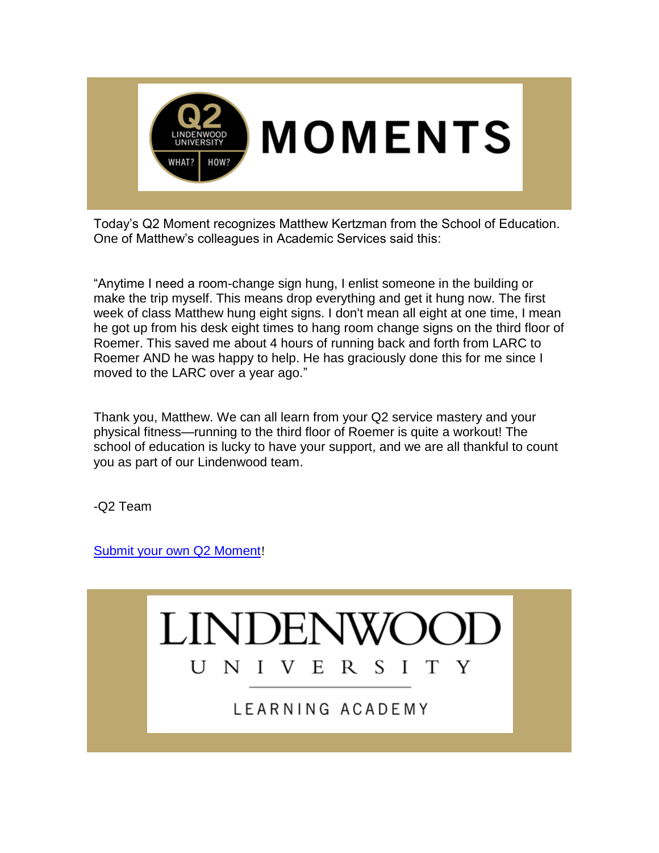

Today's Q2 Moment recognizes Matthew Kertzman from the School of Education. One of Matthew's colleagues in Academic Services said this:

"Anytime I need a room-change sign hung, I enlist someone in the building or make the trip myself. This means drop everything and get it hung now. The first week of class Matthew hung eight signs. I don't mean all eight at one time, I mean he got up from his desk eight times to hang room change signs on the third floor of Roemer. This saved me about 4 hours of running back and forth from LARC to Roemer AND he was happy to help. He has graciously done this for me since I moved to the LARC over a year ago."

Thank you, Matthew. We can all learn from your Q2 service mastery and your physical fitness—running to the third floor of Roemer is quite a workout! The school of education is lucky to have your support, and we are all thankful to count you as part of our Lindenwood team.

-Q2 Team

[Submit your own Q2 Moment](https://hes32-ctp.trendmicro.com/wis/clicktime/v1/query?url=https%3a%2f%2fcustapp.marketvolt.com%2flink%2fHxMfiZrweB%3fCM%3d1408938776%26X%3d70525052&umid=087a5ad9-9277-4847-8b26-625ba028f272&auth=bc7ac43e330fa629f0cfb11786c85e83c10d06b8-98ef094ce1fc14b54205d37dc10ee8c0b892e7ab)!

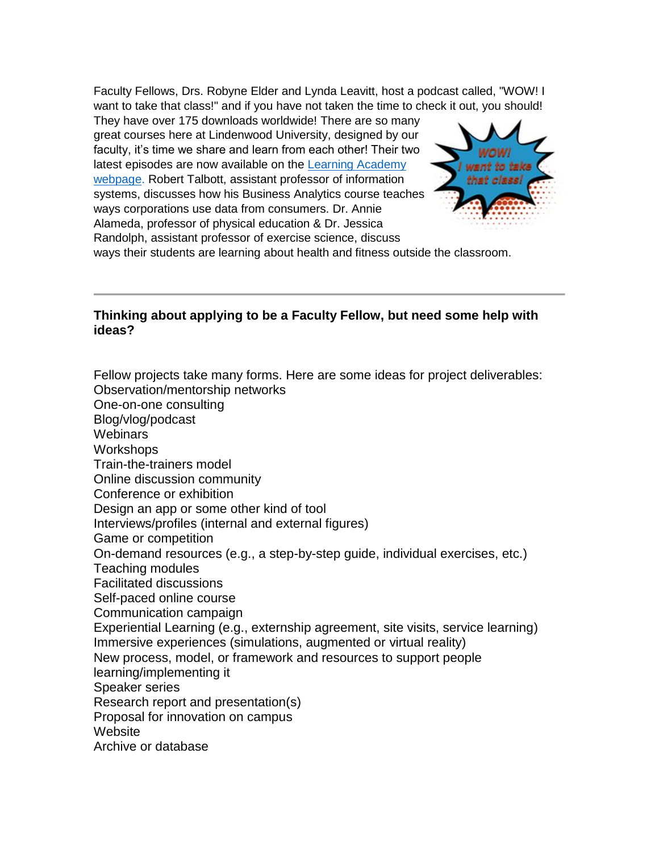Faculty Fellows, Drs. Robyne Elder and Lynda Leavitt, host a podcast called, "WOW! I want to take that class!" and if you have not taken the time to check it out, you should!

They have over 175 downloads worldwide! There are so many great courses here at Lindenwood University, designed by our faculty, it's time we share and learn from each other! Their two latest episodes are now available on the [Learning Academy](https://hes32-ctp.trendmicro.com/wis/clicktime/v1/query?url=https%3a%2f%2fcustapp.marketvolt.com%2flink%2fGvMkhels1M%3fCM%3d1408938776%26X%3d70525052&umid=087a5ad9-9277-4847-8b26-625ba028f272&auth=bc7ac43e330fa629f0cfb11786c85e83c10d06b8-646f8acf67b2201b2a10f6feaede2c6286881eee)  [webpage.](https://hes32-ctp.trendmicro.com/wis/clicktime/v1/query?url=https%3a%2f%2fcustapp.marketvolt.com%2flink%2fGvMkhels1M%3fCM%3d1408938776%26X%3d70525052&umid=087a5ad9-9277-4847-8b26-625ba028f272&auth=bc7ac43e330fa629f0cfb11786c85e83c10d06b8-646f8acf67b2201b2a10f6feaede2c6286881eee) Robert Talbott, assistant professor of information systems, discusses how his Business Analytics course teaches ways corporations use data from consumers. Dr. Annie Alameda, professor of physical education & Dr. Jessica Randolph, assistant professor of exercise science, discuss



ways their students are learning about health and fitness outside the classroom.

### **Thinking about applying to be a Faculty Fellow, but need some help with ideas?**

Fellow projects take many forms. Here are some ideas for project deliverables: Observation/mentorship networks One-on-one consulting Blog/vlog/podcast **Webinars Workshops** Train-the-trainers model Online discussion community Conference or exhibition Design an app or some other kind of tool Interviews/profiles (internal and external figures) Game or competition On-demand resources (e.g., a step-by-step guide, individual exercises, etc.) Teaching modules Facilitated discussions Self-paced online course Communication campaign Experiential Learning (e.g., externship agreement, site visits, service learning) Immersive experiences (simulations, augmented or virtual reality) New process, model, or framework and resources to support people learning/implementing it Speaker series Research report and presentation(s) Proposal for innovation on campus **Website** Archive or database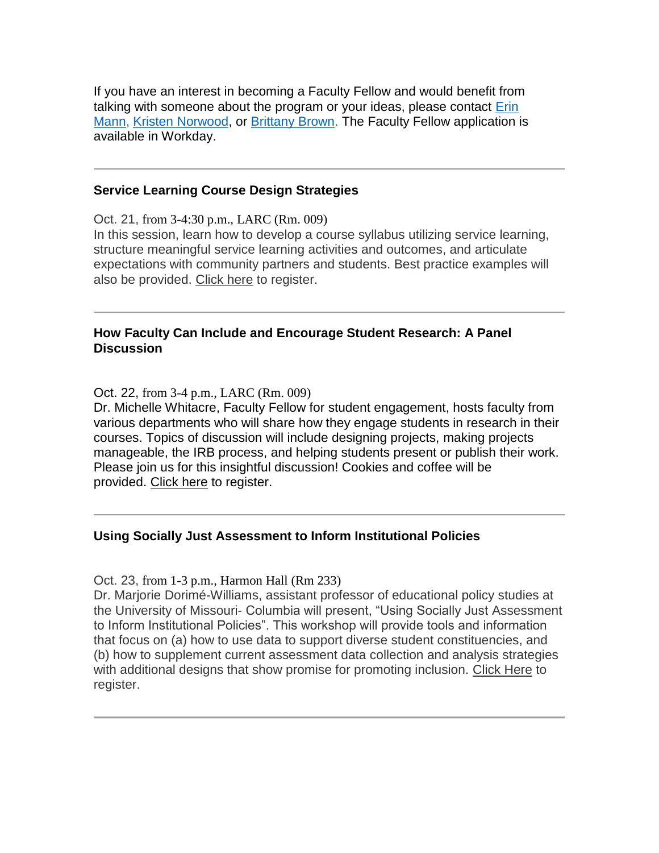If you have an interest in becoming a Faculty Fellow and would benefit from talking with someone about the program or your ideas, please contact [Erin](mailto:emann@lindenwood.edu)  [Mann,](mailto:emann@lindenwood.edu) [Kristen Norwood,](mailto:knorwood@lindenwood.edu) or [Brittany Brown.](mailto:bbrown@lindenwood.edu) The Faculty Fellow application is available in Workday.

#### **Service Learning Course Design Strategies**

Oct. 21, from 3-4:30 p.m., LARC (Rm. 009) In this session, learn how to develop a course syllabus utilizing service learning, structure meaningful service learning activities and outcomes, and articulate expectations with community partners and students. Best practice examples will also be provided. [Click here](https://hes32-ctp.trendmicro.com/wis/clicktime/v1/query?url=https%3a%2f%2fcustapp.marketvolt.com%2flink%2fERrkaTtfBn%3fCM%3d1408938776%26X%3d70525052&umid=087a5ad9-9277-4847-8b26-625ba028f272&auth=bc7ac43e330fa629f0cfb11786c85e83c10d06b8-9eed347b6052ce3d5eea3ea6d2b7576eeda0cd4a) to register.

#### **How Faculty Can Include and Encourage Student Research: A Panel Discussion**

Oct. 22, from 3-4 p.m., LARC (Rm. 009)

Dr. Michelle Whitacre, Faculty Fellow for student engagement, hosts faculty from various departments who will share how they engage students in research in their courses. Topics of discussion will include designing projects, making projects manageable, the IRB process, and helping students present or publish their work. Please join us for this insightful discussion! Cookies and coffee will be provided. [Click here](https://hes32-ctp.trendmicro.com/wis/clicktime/v1/query?url=https%3a%2f%2fcustapp.marketvolt.com%2flink%2ffIf3BIEyoT%3fCM%3d1408938776%26X%3d70525052&umid=087a5ad9-9277-4847-8b26-625ba028f272&auth=bc7ac43e330fa629f0cfb11786c85e83c10d06b8-c5d0c4755db1d3e02af867c391b8fc646c542f6f) to register.

#### **Using Socially Just Assessment to Inform Institutional Policies**

Oct. 23, from 1-3 p.m., Harmon Hall (Rm 233)

Dr. Marjorie Dorimé-Williams, assistant professor of educational policy studies at the University of Missouri- Columbia will present, "Using Socially Just Assessment to Inform Institutional Policies". This workshop will provide tools and information that focus on (a) how to use data to support diverse student constituencies, and (b) how to supplement current assessment data collection and analysis strategies with additional designs that show promise for promoting inclusion. [Click Here](https://hes32-ctp.trendmicro.com/wis/clicktime/v1/query?url=https%3a%2f%2fcustapp.marketvolt.com%2flink%2f6zbqVRDA57%3fCM%3d1408938776%26X%3d70525052&umid=087a5ad9-9277-4847-8b26-625ba028f272&auth=bc7ac43e330fa629f0cfb11786c85e83c10d06b8-b0fd4303955aa133d557591ce15cc21393ab998f) to register.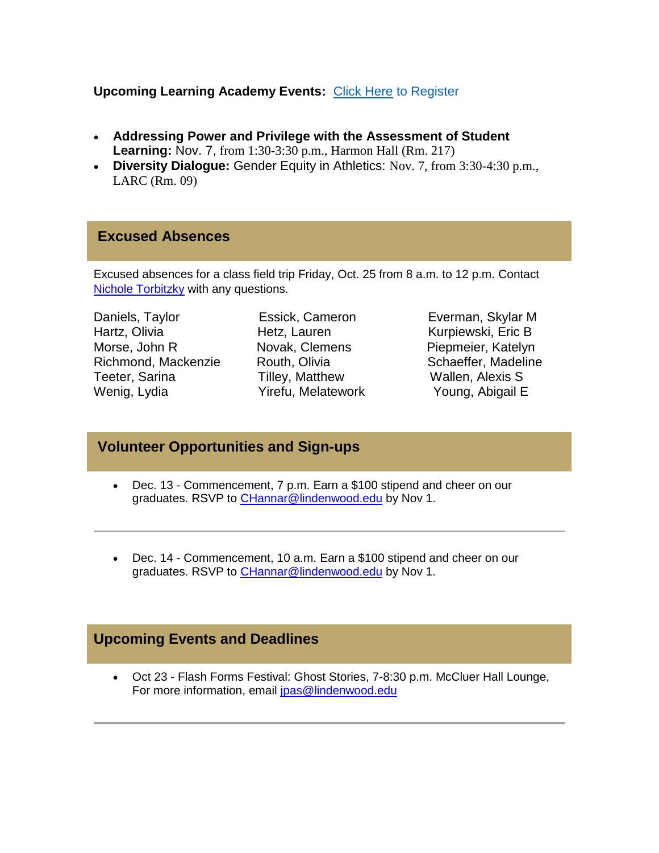#### **Upcoming Learning Academy Events:** [Click Here](https://hes32-ctp.trendmicro.com/wis/clicktime/v1/query?url=https%3a%2f%2fcustapp.marketvolt.com%2flink%2f8cmi7giviy%3fCM%3d1408938776%26X%3d70525052&umid=087a5ad9-9277-4847-8b26-625ba028f272&auth=bc7ac43e330fa629f0cfb11786c85e83c10d06b8-5e8c81de03460e7d492aa76f71f561679f62ee8e) to Register

- **Addressing Power and Privilege with the Assessment of Student Learning:** Nov. 7, from 1:30-3:30 p.m., Harmon Hall (Rm. 217)
- **Diversity Dialogue:** Gender Equity in Athletics: Nov. 7, from 3:30-4:30 p.m., LARC (Rm. 09)

#### **Excused Absences**

Excused absences for a class field trip Friday, Oct. 25 from 8 a.m. to 12 p.m. Contact **[Nichole Torbitzky](mailto:ntorbitzky@lindenwood.edu)** with any questions.

Daniels, Taylor Essick, Cameron Everman, Skylar M Hartz, Olivia **Hetz, Lauren Kurpiewski, Eric B** Morse, John R **Novak, Clemens** Piepmeier, Katelyn Richmond, Mackenzie Routh, Olivia **Schaeffer, Madeline** Routh, Olivia Teeter, Sarina Tilley, Matthew Wallen, Alexis S Wenig, Lydia **Yirefu, Melatework** Young, Abigail E

## **Volunteer Opportunities and Sign-ups**

- Dec. 13 Commencement, 7 p.m. Earn a \$100 stipend and cheer on our graduates. RSVP to [CHannar@lindenwood.edu](mailto:CHannar@lindenwood.edu) by Nov 1.
- Dec. 14 Commencement, 10 a.m. Earn a \$100 stipend and cheer on our graduates. RSVP to [CHannar@lindenwood.edu](mailto:CHannar@lindenwood.edu) by Nov 1.

### **Upcoming Events and Deadlines**

 Oct 23 - Flash Forms Festival: Ghost Stories, 7-8:30 p.m. McCluer Hall Lounge, For more information, email [jpas@lindenwood.edu](mailto:jpas@lindenwood.edu)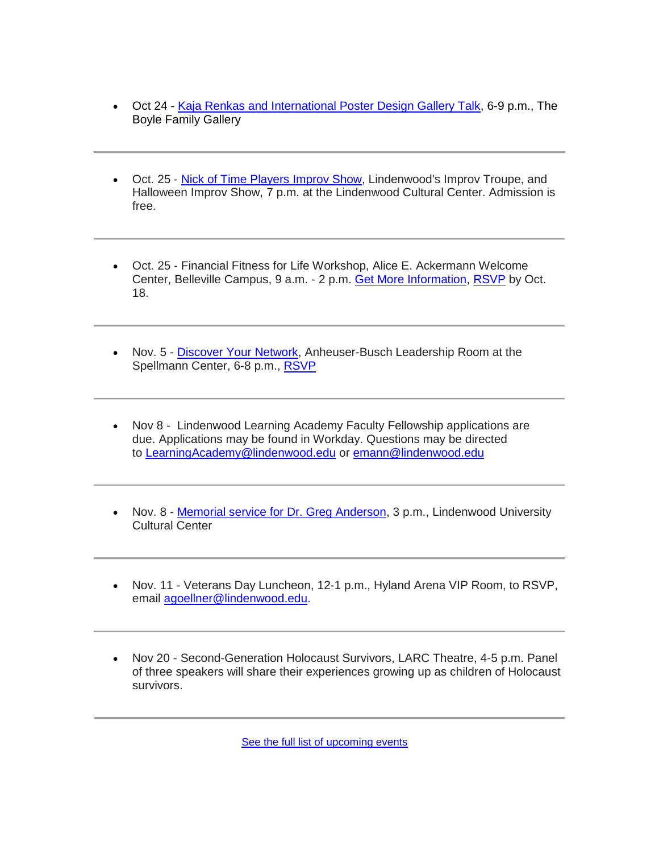- Oct 24 [Kaja Renkas and International Poster Design Gallery Talk,](https://hes32-ctp.trendmicro.com/wis/clicktime/v1/query?url=https%3a%2f%2fcustapp.marketvolt.com%2flink%2fs7ebmT9IMk%3fCM%3d1408938776%26X%3d70525052&umid=087a5ad9-9277-4847-8b26-625ba028f272&auth=bc7ac43e330fa629f0cfb11786c85e83c10d06b8-40c86073e5eba77ca57edadc9737807827624e95) 6-9 p.m., The Boyle Family Gallery
- Oct. 25 [Nick of Time Players Improv Show,](https://hes32-ctp.trendmicro.com/wis/clicktime/v1/query?url=https%3a%2f%2fcustapp.marketvolt.com%2flink%2fmUFdZnF8Rg%3fCM%3d1408938776%26X%3d70525052&umid=087a5ad9-9277-4847-8b26-625ba028f272&auth=bc7ac43e330fa629f0cfb11786c85e83c10d06b8-9057da28ebca834c3b5992ebc8b31da108394b96) Lindenwood's Improv Troupe, and Halloween Improv Show, 7 p.m. at the Lindenwood Cultural Center. Admission is free.
- Oct. 25 Financial Fitness for Life Workshop, Alice E. Ackermann Welcome Center, Belleville Campus, 9 a.m. - 2 p.m. [Get More Information,](https://hes32-ctp.trendmicro.com/wis/clicktime/v1/query?url=https%3a%2f%2fcustapp.marketvolt.com%2flink%2fVCC5EY1dfK%3fCM%3d1408938776%26X%3d70525052&umid=087a5ad9-9277-4847-8b26-625ba028f272&auth=bc7ac43e330fa629f0cfb11786c85e83c10d06b8-6f26ed840d28f461bb81366f9aa2050dfb31f79e) [RSVP](https://hes32-ctp.trendmicro.com/wis/clicktime/v1/query?url=https%3a%2f%2fcustapp.marketvolt.com%2flink%2fFFrE62mhnu%3fCM%3d1408938776%26X%3d70525052&umid=087a5ad9-9277-4847-8b26-625ba028f272&auth=bc7ac43e330fa629f0cfb11786c85e83c10d06b8-6eb218604f13668e5336853fa286fd68ca9e2a73) by Oct. 18.
- Nov. 5 [Discover Your Network,](https://hes32-ctp.trendmicro.com/wis/clicktime/v1/query?url=https%3a%2f%2fcustapp.marketvolt.com%2flink%2fFh65BpdCYh%3fCM%3d1408938776%26X%3d70525052&umid=087a5ad9-9277-4847-8b26-625ba028f272&auth=bc7ac43e330fa629f0cfb11786c85e83c10d06b8-4b008242c4810cc2fc758d71d0a64150a1119add) Anheuser-Busch Leadership Room at the Spellmann Center, 6-8 p.m., [RSVP](https://hes32-ctp.trendmicro.com/wis/clicktime/v1/query?url=https%3a%2f%2fcustapp.marketvolt.com%2flink%2fFh65BpdCYh%3fCM%3d1408938776%26X%3d70525052&umid=087a5ad9-9277-4847-8b26-625ba028f272&auth=bc7ac43e330fa629f0cfb11786c85e83c10d06b8-4b008242c4810cc2fc758d71d0a64150a1119add)
- Nov 8 Lindenwood Learning Academy Faculty Fellowship applications are due. Applications may be found in Workday. Questions may be directed to [LearningAcademy@lindenwood.edu](mailto:LearningAcademy@lindenwood.edu) or [emann@lindenwood.edu](mailto:emann@lindenwood.edu)
- Nov. 8 [Memorial service for Dr. Greg Anderson,](https://hes32-ctp.trendmicro.com/wis/clicktime/v1/query?url=https%3a%2f%2fcustapp.marketvolt.com%2flink%2fvcRs99VHf4%3fCM%3d1408938776%26X%3d70525052&umid=087a5ad9-9277-4847-8b26-625ba028f272&auth=bc7ac43e330fa629f0cfb11786c85e83c10d06b8-698e761f354ded4372bfa9cd3ad79a1fb3368b0a) 3 p.m., Lindenwood University Cultural Center
- Nov. 11 Veterans Day Luncheon, 12-1 p.m., Hyland Arena VIP Room, to RSVP, email [agoellner@lindenwood.edu.](mailto:agoellner@lindenwood.edu)
- Nov 20 Second-Generation Holocaust Survivors, LARC Theatre, 4-5 p.m. Panel of three speakers will share their experiences growing up as children of Holocaust survivors.

[See the full list of upcoming events](https://hes32-ctp.trendmicro.com/wis/clicktime/v1/query?url=https%3a%2f%2fcustapp.marketvolt.com%2flink%2fryokc5XoTE%3fCM%3d1408938776%26X%3d70525052&umid=087a5ad9-9277-4847-8b26-625ba028f272&auth=bc7ac43e330fa629f0cfb11786c85e83c10d06b8-7f87ad0387655fb8b2830a69d9f09d18b83d4bdd)